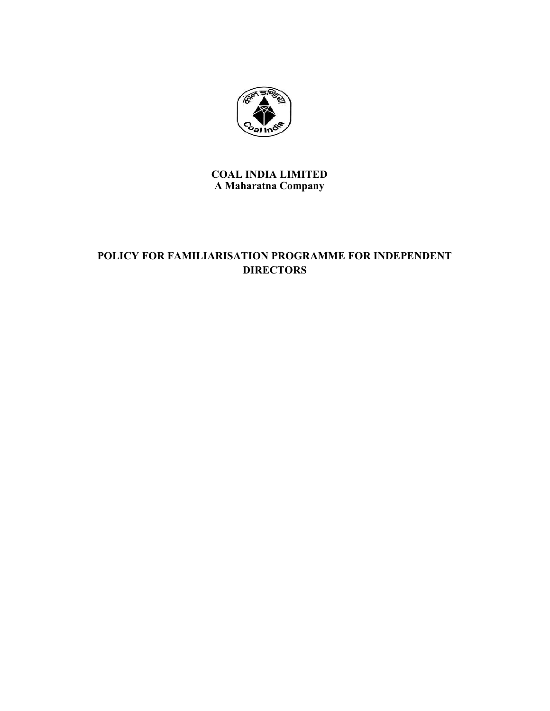

**COAL INDIA LIMITED A Maharatna Company**

# **POLICY FOR FAMILIARISATION PROGRAMME FOR INDEPENDENT DIRECTORS**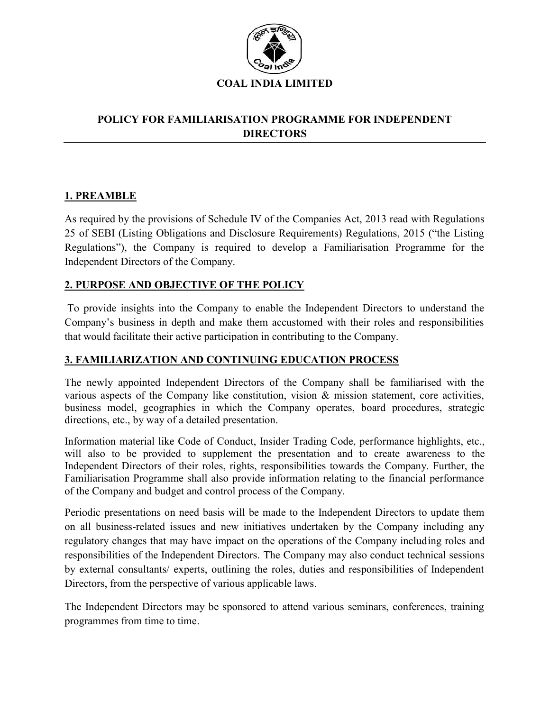

## **POLICY FOR FAMILIARISATION PROGRAMME FOR INDEPENDENT DIRECTORS**

## **1. PREAMBLE**

As required by the provisions of Schedule IV of the Companies Act, 2013 read with Regulations 25 of SEBI (Listing Obligations and Disclosure Requirements) Regulations, 2015 ("the Listing Regulations"), the Company is required to develop a Familiarisation Programme for the Independent Directors of the Company.

## **2. PURPOSE AND OBJECTIVE OF THE POLICY**

To provide insights into the Company to enable the Independent Directors to understand the Company's business in depth and make them accustomed with their roles and responsibilities that would facilitate their active participation in contributing to the Company.

#### **3. FAMILIARIZATION AND CONTINUING EDUCATION PROCESS**

The newly appointed Independent Directors of the Company shall be familiarised with the various aspects of the Company like constitution, vision & mission statement, core activities, business model, geographies in which the Company operates, board procedures, strategic directions, etc., by way of a detailed presentation.

Information material like Code of Conduct, Insider Trading Code, performance highlights, etc., will also to be provided to supplement the presentation and to create awareness to the Independent Directors of their roles, rights, responsibilities towards the Company. Further, the Familiarisation Programme shall also provide information relating to the financial performance of the Company and budget and control process of the Company.

Periodic presentations on need basis will be made to the Independent Directors to update them on all business-related issues and new initiatives undertaken by the Company including any regulatory changes that may have impact on the operations of the Company including roles and responsibilities of the Independent Directors. The Company may also conduct technical sessions by external consultants/ experts, outlining the roles, duties and responsibilities of Independent Directors, from the perspective of various applicable laws.

The Independent Directors may be sponsored to attend various seminars, conferences, training programmes from time to time.